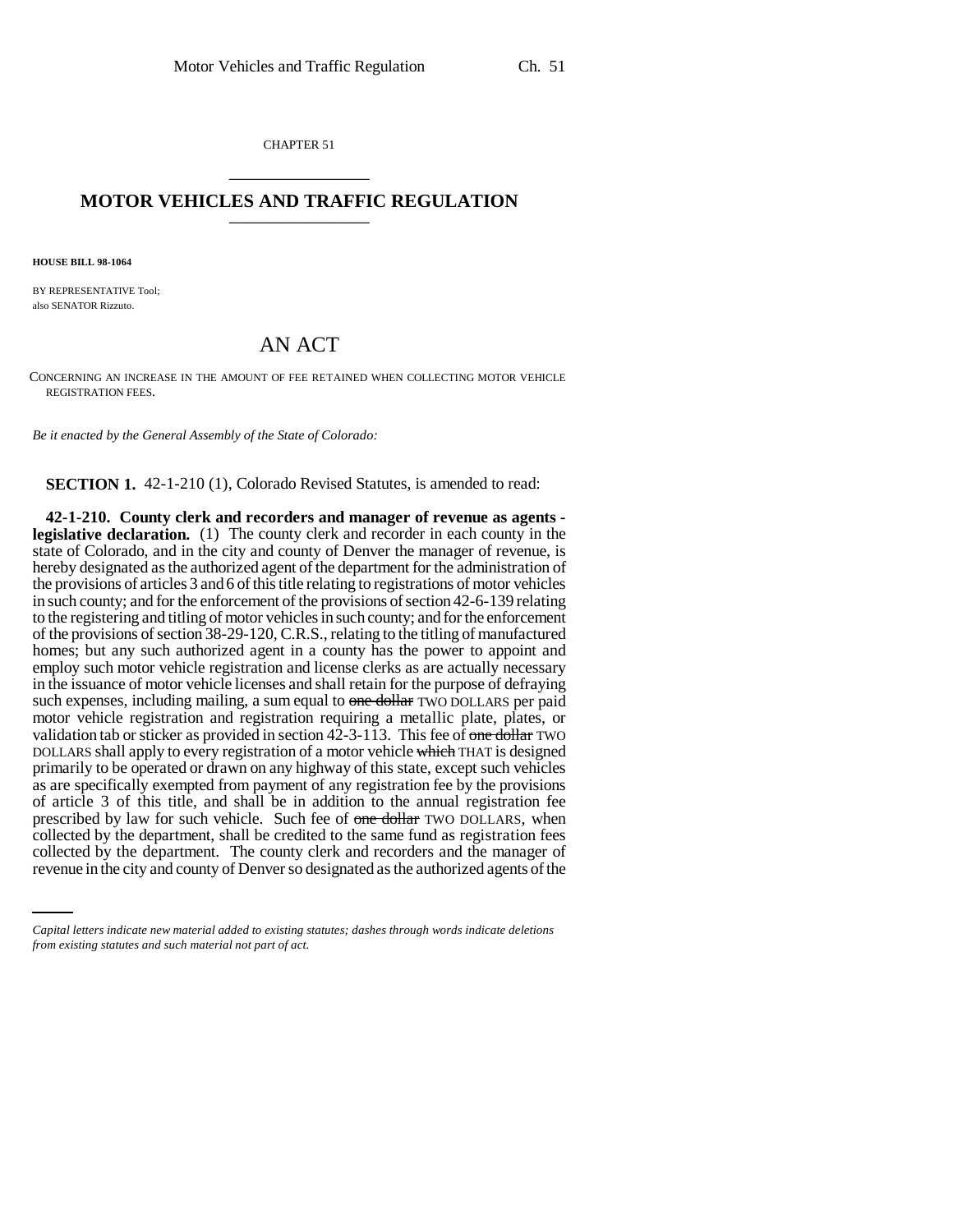CHAPTER 51 \_\_\_\_\_\_\_\_\_\_\_\_\_\_\_

## **MOTOR VEHICLES AND TRAFFIC REGULATION** \_\_\_\_\_\_\_\_\_\_\_\_\_\_\_

**HOUSE BILL 98-1064**

BY REPRESENTATIVE Tool; also SENATOR Rizzuto.

## AN ACT

CONCERNING AN INCREASE IN THE AMOUNT OF FEE RETAINED WHEN COLLECTING MOTOR VEHICLE REGISTRATION FEES.

*Be it enacted by the General Assembly of the State of Colorado:*

**SECTION 1.** 42-1-210 (1), Colorado Revised Statutes, is amended to read:

collected by the department, shall be credited to the same fund as registration fees **42-1-210. County clerk and recorders and manager of revenue as agents legislative declaration.** (1) The county clerk and recorder in each county in the state of Colorado, and in the city and county of Denver the manager of revenue, is hereby designated as the authorized agent of the department for the administration of the provisions of articles 3 and 6 of this title relating to registrations of motor vehicles in such county; and for the enforcement of the provisions of section 42-6-139 relating to the registering and titling of motor vehicles in such county; and for the enforcement of the provisions of section 38-29-120, C.R.S., relating to the titling of manufactured homes; but any such authorized agent in a county has the power to appoint and employ such motor vehicle registration and license clerks as are actually necessary in the issuance of motor vehicle licenses and shall retain for the purpose of defraying such expenses, including mailing, a sum equal to one dollar TWO DOLLARS per paid motor vehicle registration and registration requiring a metallic plate, plates, or validation tab or sticker as provided in section  $42-3-113$ . This fee of one dollar TWO DOLLARS shall apply to every registration of a motor vehicle which THAT is designed primarily to be operated or drawn on any highway of this state, except such vehicles as are specifically exempted from payment of any registration fee by the provisions of article 3 of this title, and shall be in addition to the annual registration fee prescribed by law for such vehicle. Such fee of one dollar TWO DOLLARS, when collected by the department. The county clerk and recorders and the manager of revenue in the city and county of Denver so designated as the authorized agents of the

*Capital letters indicate new material added to existing statutes; dashes through words indicate deletions from existing statutes and such material not part of act.*